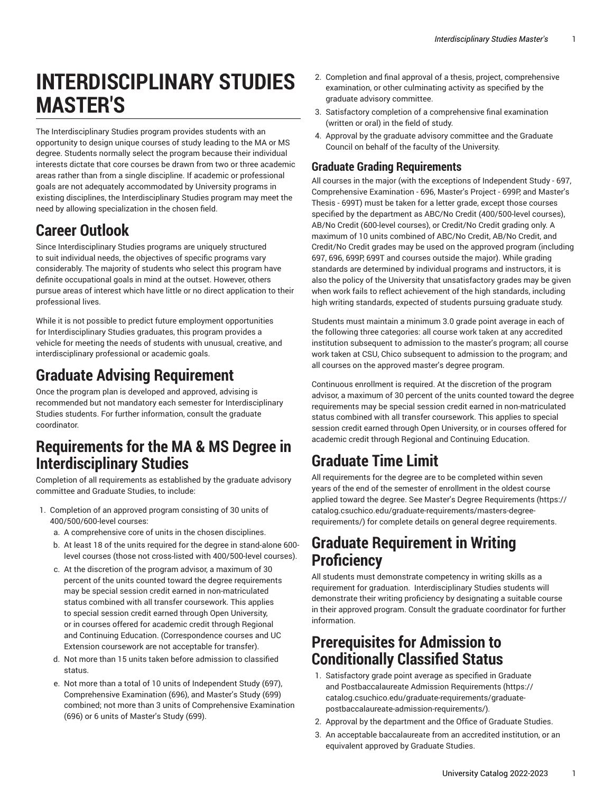# **INTERDISCIPLINARY STUDIES MASTER'S**

The Interdisciplinary Studies program provides students with an opportunity to design unique courses of study leading to the MA or MS degree. Students normally select the program because their individual interests dictate that core courses be drawn from two or three academic areas rather than from a single discipline. If academic or professional goals are not adequately accommodated by University programs in existing disciplines, the Interdisciplinary Studies program may meet the need by allowing specialization in the chosen field.

# **Career Outlook**

Since Interdisciplinary Studies programs are uniquely structured to suit individual needs, the objectives of specific programs vary considerably. The majority of students who select this program have definite occupational goals in mind at the outset. However, others pursue areas of interest which have little or no direct application to their professional lives.

While it is not possible to predict future employment opportunities for Interdisciplinary Studies graduates, this program provides a vehicle for meeting the needs of students with unusual, creative, and interdisciplinary professional or academic goals.

# **Graduate Advising Requirement**

Once the program plan is developed and approved, advising is recommended but not mandatory each semester for Interdisciplinary Studies students. For further information, consult the graduate coordinator.

# **Requirements for the MA & MS Degree in Interdisciplinary Studies**

Completion of all requirements as established by the graduate advisory committee and Graduate Studies, to include:

- 1. Completion of an approved program consisting of 30 units of 400/500/600-level courses:
	- a. A comprehensive core of units in the chosen disciplines.
	- b. At least 18 of the units required for the degree in stand-alone 600 level courses (those not cross-listed with 400/500-level courses).
	- c. At the discretion of the program advisor, a maximum of 30 percent of the units counted toward the degree requirements may be special session credit earned in non-matriculated status combined with all transfer coursework. This applies to special session credit earned through Open University, or in courses offered for academic credit through Regional and Continuing Education. (Correspondence courses and UC Extension coursework are not acceptable for transfer).
	- d. Not more than 15 units taken before admission to classified status.
	- e. Not more than a total of 10 units of Independent Study (697), Comprehensive Examination (696), and Master's Study (699) combined; not more than 3 units of Comprehensive Examination (696) or 6 units of Master's Study (699).
- 2. Completion and final approval of a thesis, project, comprehensive examination, or other culminating activity as specified by the graduate advisory committee.
- 3. Satisfactory completion of a comprehensive final examination (written or oral) in the field of study.
- 4. Approval by the graduate advisory committee and the Graduate Council on behalf of the faculty of the University.

#### **Graduate Grading Requirements**

All courses in the major (with the exceptions of Independent Study - 697, Comprehensive Examination - 696, Master's Project - 699P, and Master's Thesis - 699T) must be taken for a letter grade, except those courses specified by the department as ABC/No Credit (400/500-level courses), AB/No Credit (600-level courses), or Credit/No Credit grading only. A maximum of 10 units combined of ABC/No Credit, AB/No Credit, and Credit/No Credit grades may be used on the approved program (including 697, 696, 699P, 699T and courses outside the major). While grading standards are determined by individual programs and instructors, it is also the policy of the University that unsatisfactory grades may be given when work fails to reflect achievement of the high standards, including high writing standards, expected of students pursuing graduate study.

Students must maintain a minimum 3.0 grade point average in each of the following three categories: all course work taken at any accredited institution subsequent to admission to the master's program; all course work taken at CSU, Chico subsequent to admission to the program; and all courses on the approved master's degree program.

Continuous enrollment is required. At the discretion of the program advisor, a maximum of 30 percent of the units counted toward the degree requirements may be special session credit earned in non-matriculated status combined with all transfer coursework. This applies to special session credit earned through Open University, or in courses offered for academic credit through Regional and Continuing Education.

# **Graduate Time Limit**

All requirements for the degree are to be completed within seven years of the end of the semester of enrollment in the oldest course applied toward the degree. See Master's Degree [Requirements](https://catalog.csuchico.edu/graduate-requirements/masters-degree-requirements/) ([https://](https://catalog.csuchico.edu/graduate-requirements/masters-degree-requirements/) [catalog.csuchico.edu/graduate-requirements/masters-degree](https://catalog.csuchico.edu/graduate-requirements/masters-degree-requirements/)[requirements/](https://catalog.csuchico.edu/graduate-requirements/masters-degree-requirements/)) for complete details on general degree requirements.

# **Graduate Requirement in Writing Proficiency**

All students must demonstrate competency in writing skills as a requirement for graduation. Interdisciplinary Studies students will demonstrate their writing proficiency by designating a suitable course in their approved program. Consult the graduate coordinator for further information.

### **Prerequisites for Admission to Conditionally Classified Status**

- 1. Satisfactory grade point average as specified in [Graduate](https://catalog.csuchico.edu/graduate-requirements/graduate-postbaccalaureate-admission-requirements/) and [Postbaccalaureate](https://catalog.csuchico.edu/graduate-requirements/graduate-postbaccalaureate-admission-requirements/) Admission Requirements [\(https://](https://catalog.csuchico.edu/graduate-requirements/graduate-postbaccalaureate-admission-requirements/) [catalog.csuchico.edu/graduate-requirements/graduate](https://catalog.csuchico.edu/graduate-requirements/graduate-postbaccalaureate-admission-requirements/)[postbaccalaureate-admission-requirements/](https://catalog.csuchico.edu/graduate-requirements/graduate-postbaccalaureate-admission-requirements/))*.*
- 2. Approval by the department and the Office of Graduate Studies.
- 3. An acceptable baccalaureate from an accredited institution, or an equivalent approved by Graduate Studies.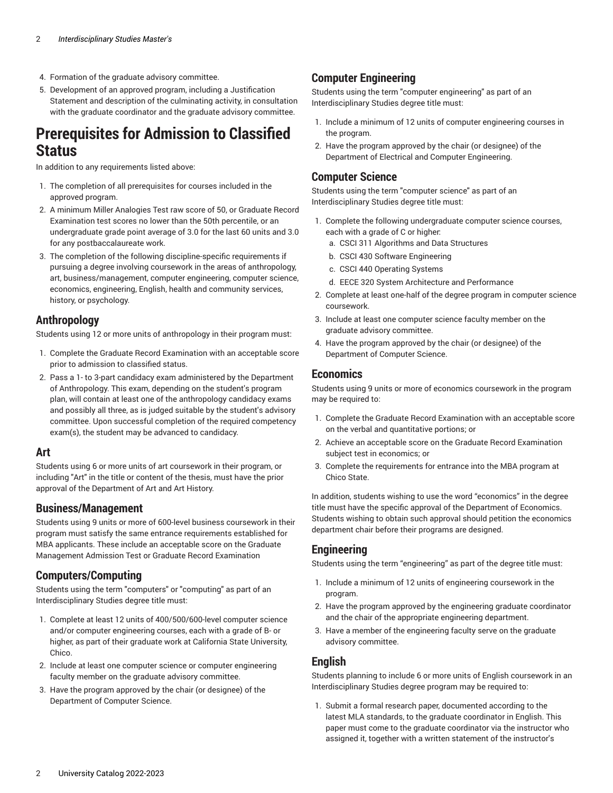- 4. Formation of the graduate advisory committee.
- 5. Development of an approved program, including a Justification Statement and description of the culminating activity, in consultation with the graduate coordinator and the graduate advisory committee.

### **Prerequisites for Admission to Classified Status**

In addition to any requirements listed above:

- 1. The completion of all prerequisites for courses included in the approved program.
- 2. A minimum Miller Analogies Test raw score of 50, or Graduate Record Examination test scores no lower than the 50th percentile, or an undergraduate grade point average of 3.0 for the last 60 units and 3.0 for any postbaccalaureate work.
- 3. The completion of the following discipline-specific requirements if pursuing a degree involving coursework in the areas of anthropology, art, business/management, computer engineering, computer science, economics, engineering, English, health and community services, history, or psychology.

#### **Anthropology**

Students using 12 or more units of anthropology in their program must:

- 1. Complete the Graduate Record Examination with an acceptable score prior to admission to classified status.
- 2. Pass a 1- to 3-part candidacy exam administered by the Department of Anthropology. This exam, depending on the student's program plan, will contain at least one of the anthropology candidacy exams and possibly all three, as is judged suitable by the student's advisory committee. Upon successful completion of the required competency exam(s), the student may be advanced to candidacy.

#### **Art**

Students using 6 or more units of art coursework in their program, or including "Art" in the title or content of the thesis, must have the prior approval of the Department of Art and Art History.

#### **Business/Management**

Students using 9 units or more of 600-level business coursework in their program must satisfy the same entrance requirements established for MBA applicants. These include an acceptable score on the Graduate Management Admission Test or Graduate Record Examination

#### **Computers/Computing**

Students using the term "computers" or "computing" as part of an Interdisciplinary Studies degree title must:

- 1. Complete at least 12 units of 400/500/600-level computer science and/or computer engineering courses, each with a grade of B- or higher, as part of their graduate work at California State University, Chico.
- 2. Include at least one computer science or computer engineering faculty member on the graduate advisory committee.
- 3. Have the program approved by the chair (or designee) of the Department of Computer Science.

#### **Computer Engineering**

Students using the term "computer engineering" as part of an Interdisciplinary Studies degree title must:

- 1. Include a minimum of 12 units of computer engineering courses in the program.
- 2. Have the program approved by the chair (or designee) of the Department of Electrical and Computer Engineering.

#### **Computer Science**

Students using the term "computer science" as part of an Interdisciplinary Studies degree title must:

- 1. Complete the following undergraduate computer science courses, each with a grade of C or higher:
	- a. CSCI 311 Algorithms and Data Structures
	- b. CSCI 430 Software Engineering
	- c. CSCI 440 Operating Systems
	- d. EECE 320 System Architecture and Performance
- 2. Complete at least one-half of the degree program in computer science coursework.
- 3. Include at least one computer science faculty member on the graduate advisory committee.
- 4. Have the program approved by the chair (or designee) of the Department of Computer Science.

#### **Economics**

Students using 9 units or more of economics coursework in the program may be required to:

- 1. Complete the Graduate Record Examination with an acceptable score on the verbal and quantitative portions; or
- 2. Achieve an acceptable score on the Graduate Record Examination subject test in economics; or
- 3. Complete the requirements for entrance into the MBA program at Chico State.

In addition, students wishing to use the word "economics" in the degree title must have the specific approval of the Department of Economics. Students wishing to obtain such approval should petition the economics department chair before their programs are designed.

#### **Engineering**

Students using the term "engineering" as part of the degree title must:

- 1. Include a minimum of 12 units of engineering coursework in the program.
- 2. Have the program approved by the engineering graduate coordinator and the chair of the appropriate engineering department.
- 3. Have a member of the engineering faculty serve on the graduate advisory committee.

#### **English**

Students planning to include 6 or more units of English coursework in an Interdisciplinary Studies degree program may be required to:

1. Submit a formal research paper, documented according to the latest MLA standards, to the graduate coordinator in English. This paper must come to the graduate coordinator via the instructor who assigned it, together with a written statement of the instructor's